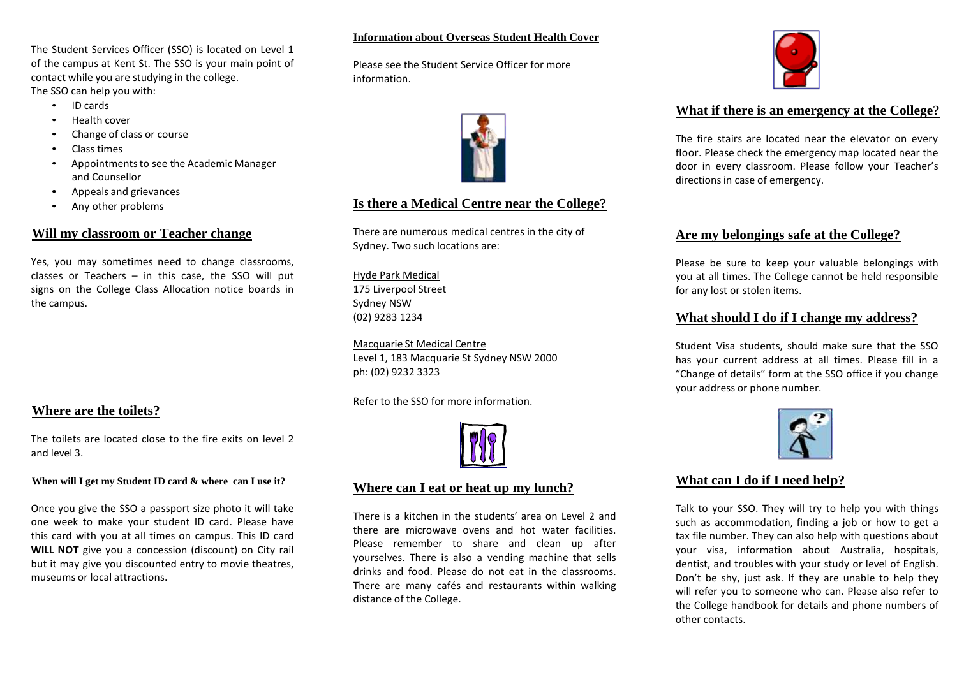The Student Services Officer (SSO) is located on Level 1 of the campus at Kent St. The SSO is your main point of contact while you are studying in the college. The SSO can help you with:

- ID cards
- Health cover
- Change of class or course
- Class times
- Appointmentsto see the Academic Manager and Counsellor
- Appeals and grievances
- Any other problems

### **Will my classroom or Teacher change**

Yes, you may sometimes need to change classrooms, classes or Teachers  $-$  in this case, the SSO will put signs on the College Class Allocation notice boards in the campus.

## **Where are the toilets?**

The toilets are located close to the fire exits on level 2 and level 3.

### **When will I get my Student ID card & where can I use it?**

Once you give the SSO a passport size photo it will take one week to make your student ID card. Please have this card with you at all times on campus. This ID card **WILL NOT** give you a concession (discount) on City rail but it may give you discounted entry to movie theatres, museums or local attractions.

### **Information about Overseas Student Health Cover**

Please see the Student Service Officer for more information.



## **Is there a Medical Centre near the College?**

There are numerous medical centres in the city of Sydney. Two such locations are:

Hyde Park Medical 175 Liverpool Street Sydney NSW (02) 9283 1234

Macquarie St Medical Centre Level 1, 183 Macquarie St Sydney NSW 2000 ph: (02) 9232 3323

Refer to the SSO for more information.



### **Where can I eat or heat up my lunch?**

There is a kitchen in the students' area on Level 2 and there are microwave ovens and hot water facilities. Please remember to share and clean up after yourselves. There is also a vending machine that sells drinks and food. Please do not eat in the classrooms. There are many cafés and restaurants within walking distance of the College.



## **What if there is an emergency at the College?**

The fire stairs are located near the elevator on every floor. Please check the emergency map located near the door in every classroom. Please follow your Teacher's directions in case of emergency.

## **Are my belongings safe at the College?**

Please be sure to keep your valuable belongings with you at all times. The College cannot be held responsible for any lost or stolen items.

### **What should I do if I change my address?**

Student Visa students, should make sure that the SSO has your current address at all times. Please fill in a "Change of details" form at the SSO office if you change your address or phone number.



# **What can I do if I need help?**

Talk to your SSO. They will try to help you with things such as accommodation, finding a job or how to get a tax file number. They can also help with questions about your visa, information about Australia, hospitals, dentist, and troubles with your study or level of English. Don't be shy, just ask. If they are unable to help they will refer you to someone who can. Please also refer to the College handbook for details and phone numbers of other contacts.